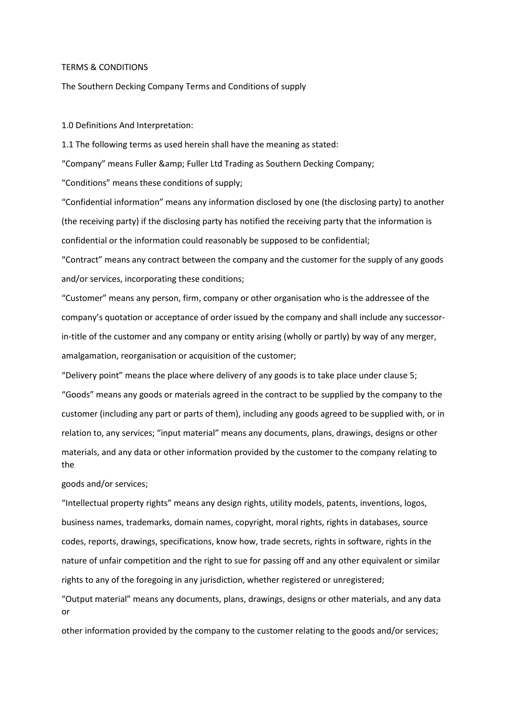#### TERMS & CONDITIONS

The Southern Decking Company Terms and Conditions of supply

1.0 Definitions And Interpretation:

1.1 The following terms as used herein shall have the meaning as stated:

"Company" means Fuller & amp; Fuller Ltd Trading as Southern Decking Company;

"Conditions" means these conditions of supply;

"Confidential information" means any information disclosed by one (the disclosing party) to another (the receiving party) if the disclosing party has notified the receiving party that the information is confidential or the information could reasonably be supposed to be confidential;

"Contract" means any contract between the company and the customer for the supply of any goods and/or services, incorporating these conditions;

"Customer" means any person, firm, company or other organisation who is the addressee of the company's quotation or acceptance of order issued by the company and shall include any successorin-title of the customer and any company or entity arising (wholly or partly) by way of any merger, amalgamation, reorganisation or acquisition of the customer;

"Delivery point" means the place where delivery of any goods is to take place under clause 5; "Goods" means any goods or materials agreed in the contract to be supplied by the company to the customer (including any part or parts of them), including any goods agreed to be supplied with, or in relation to, any services; "input material" means any documents, plans, drawings, designs or other materials, and any data or other information provided by the customer to the company relating to the

### goods and/or services;

"Intellectual property rights" means any design rights, utility models, patents, inventions, logos, business names, trademarks, domain names, copyright, moral rights, rights in databases, source codes, reports, drawings, specifications, know how, trade secrets, rights in software, rights in the nature of unfair competition and the right to sue for passing off and any other equivalent or similar rights to any of the foregoing in any jurisdiction, whether registered or unregistered;

"Output material" means any documents, plans, drawings, designs or other materials, and any data or

other information provided by the company to the customer relating to the goods and/or services;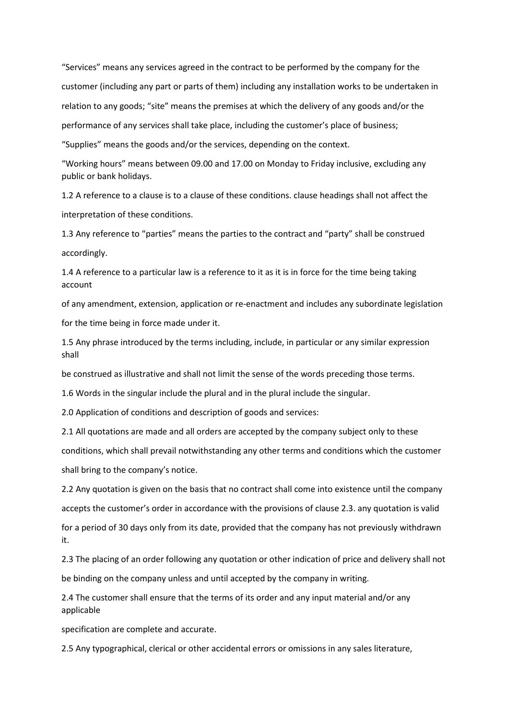"Services" means any services agreed in the contract to be performed by the company for the customer (including any part or parts of them) including any installation works to be undertaken in relation to any goods; "site" means the premises at which the delivery of any goods and/or the performance of any services shall take place, including the customer's place of business;

"Supplies" means the goods and/or the services, depending on the context.

"Working hours" means between 09.00 and 17.00 on Monday to Friday inclusive, excluding any public or bank holidays.

1.2 A reference to a clause is to a clause of these conditions. clause headings shall not affect the interpretation of these conditions.

1.3 Any reference to "parties" means the parties to the contract and "party" shall be construed accordingly.

1.4 A reference to a particular law is a reference to it as it is in force for the time being taking account

of any amendment, extension, application or re-enactment and includes any subordinate legislation for the time being in force made under it.

1.5 Any phrase introduced by the terms including, include, in particular or any similar expression shall

be construed as illustrative and shall not limit the sense of the words preceding those terms.

1.6 Words in the singular include the plural and in the plural include the singular.

2.0 Application of conditions and description of goods and services:

2.1 All quotations are made and all orders are accepted by the company subject only to these

conditions, which shall prevail notwithstanding any other terms and conditions which the customer shall bring to the company's notice.

2.2 Any quotation is given on the basis that no contract shall come into existence until the company accepts the customer's order in accordance with the provisions of clause 2.3. any quotation is valid for a period of 30 days only from its date, provided that the company has not previously withdrawn it.

2.3 The placing of an order following any quotation or other indication of price and delivery shall not be binding on the company unless and until accepted by the company in writing.

2.4 The customer shall ensure that the terms of its order and any input material and/or any applicable

specification are complete and accurate.

2.5 Any typographical, clerical or other accidental errors or omissions in any sales literature,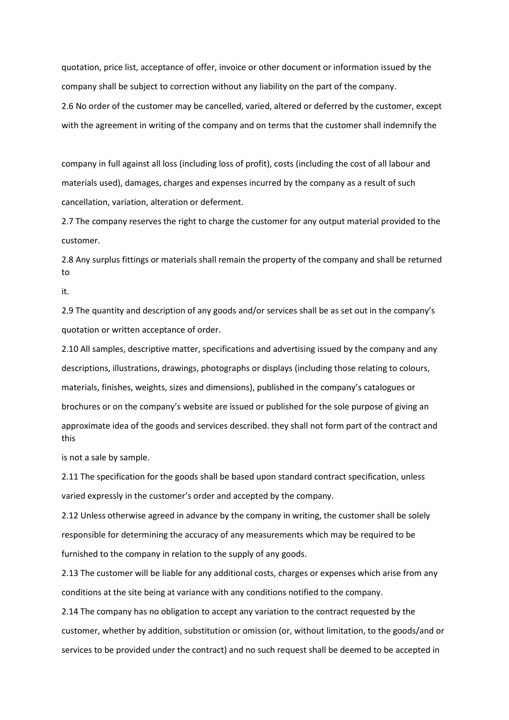quotation, price list, acceptance of offer, invoice or other document or information issued by the company shall be subject to correction without any liability on the part of the company. 2.6 No order of the customer may be cancelled, varied, altered or deferred by the customer, except with the agreement in writing of the company and on terms that the customer shall indemnify the

company in full against all loss (including loss of profit), costs (including the cost of all labour and materials used), damages, charges and expenses incurred by the company as a result of such cancellation, variation, alteration or deferment.

2.7 The company reserves the right to charge the customer for any output material provided to the customer.

2.8 Any surplus fittings or materials shall remain the property of the company and shall be returned to

it.

2.9 The quantity and description of any goods and/or services shall be as set out in the company's quotation or written acceptance of order.

2.10 All samples, descriptive matter, specifications and advertising issued by the company and any descriptions, illustrations, drawings, photographs or displays (including those relating to colours, materials, finishes, weights, sizes and dimensions), published in the company's catalogues or brochures or on the company's website are issued or published for the sole purpose of giving an approximate idea of the goods and services described. they shall not form part of the contract and this

is not a sale by sample.

2.11 The specification for the goods shall be based upon standard contract specification, unless varied expressly in the customer's order and accepted by the company.

2.12 Unless otherwise agreed in advance by the company in writing, the customer shall be solely responsible for determining the accuracy of any measurements which may be required to be furnished to the company in relation to the supply of any goods.

2.13 The customer will be liable for any additional costs, charges or expenses which arise from any conditions at the site being at variance with any conditions notified to the company.

2.14 The company has no obligation to accept any variation to the contract requested by the customer, whether by addition, substitution or omission (or, without limitation, to the goods/and or services to be provided under the contract) and no such request shall be deemed to be accepted in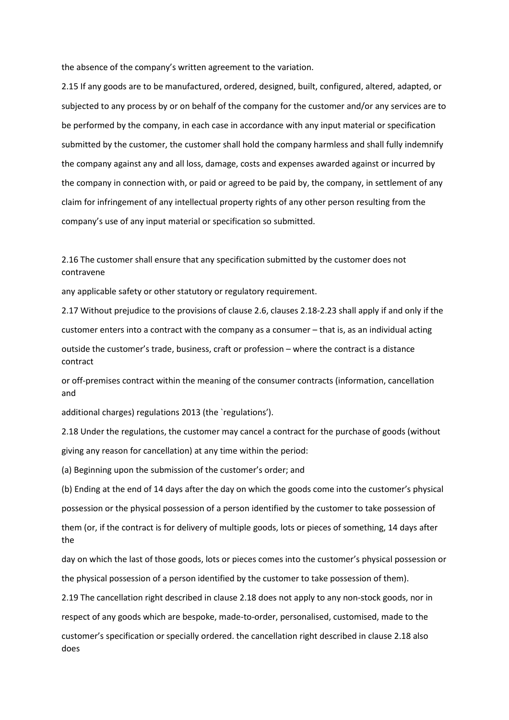the absence of the company's written agreement to the variation.

2.15 If any goods are to be manufactured, ordered, designed, built, configured, altered, adapted, or subjected to any process by or on behalf of the company for the customer and/or any services are to be performed by the company, in each case in accordance with any input material or specification submitted by the customer, the customer shall hold the company harmless and shall fully indemnify the company against any and all loss, damage, costs and expenses awarded against or incurred by the company in connection with, or paid or agreed to be paid by, the company, in settlement of any claim for infringement of any intellectual property rights of any other person resulting from the company's use of any input material or specification so submitted.

2.16 The customer shall ensure that any specification submitted by the customer does not contravene

any applicable safety or other statutory or regulatory requirement.

2.17 Without prejudice to the provisions of clause 2.6, clauses 2.18-2.23 shall apply if and only if the

customer enters into a contract with the company as a consumer – that is, as an individual acting

outside the customer's trade, business, craft or profession – where the contract is a distance contract

or off-premises contract within the meaning of the consumer contracts (information, cancellation and

additional charges) regulations 2013 (the `regulations').

2.18 Under the regulations, the customer may cancel a contract for the purchase of goods (without giving any reason for cancellation) at any time within the period:

(a) Beginning upon the submission of the customer's order; and

(b) Ending at the end of 14 days after the day on which the goods come into the customer's physical possession or the physical possession of a person identified by the customer to take possession of them (or, if the contract is for delivery of multiple goods, lots or pieces of something, 14 days after the

day on which the last of those goods, lots or pieces comes into the customer's physical possession or the physical possession of a person identified by the customer to take possession of them).

2.19 The cancellation right described in clause 2.18 does not apply to any non-stock goods, nor in respect of any goods which are bespoke, made-to-order, personalised, customised, made to the customer's specification or specially ordered. the cancellation right described in clause 2.18 also does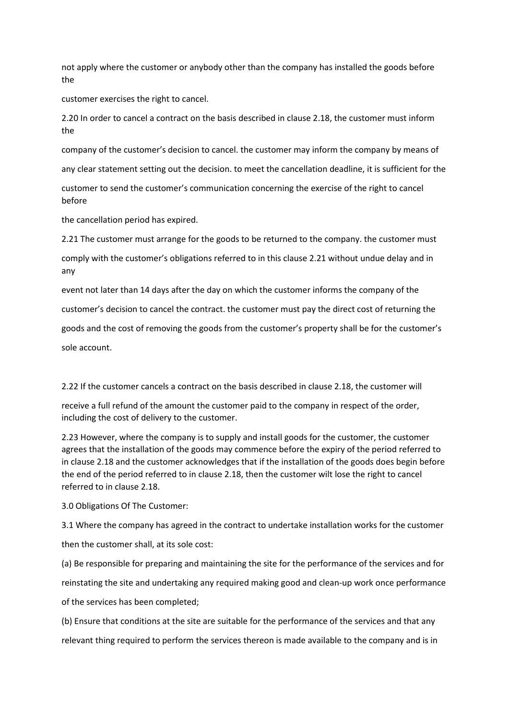not apply where the customer or anybody other than the company has installed the goods before the

customer exercises the right to cancel.

2.20 In order to cancel a contract on the basis described in clause 2.18, the customer must inform the

company of the customer's decision to cancel. the customer may inform the company by means of

any clear statement setting out the decision. to meet the cancellation deadline, it is sufficient for the

customer to send the customer's communication concerning the exercise of the right to cancel before

the cancellation period has expired.

2.21 The customer must arrange for the goods to be returned to the company. the customer must comply with the customer's obligations referred to in this clause 2.21 without undue delay and in any

event not later than 14 days after the day on which the customer informs the company of the customer's decision to cancel the contract. the customer must pay the direct cost of returning the goods and the cost of removing the goods from the customer's property shall be for the customer's sole account.

2.22 If the customer cancels a contract on the basis described in clause 2.18, the customer will

receive a full refund of the amount the customer paid to the company in respect of the order, including the cost of delivery to the customer.

2.23 However, where the company is to supply and install goods for the customer, the customer agrees that the installation of the goods may commence before the expiry of the period referred to in clause 2.18 and the customer acknowledges that if the installation of the goods does begin before the end of the period referred to in clause 2.18, then the customer wilt lose the right to cancel referred to in clause 2.18.

3.0 Obligations Of The Customer:

3.1 Where the company has agreed in the contract to undertake installation works for the customer

then the customer shall, at its sole cost:

(a) Be responsible for preparing and maintaining the site for the performance of the services and for reinstating the site and undertaking any required making good and clean-up work once performance of the services has been completed;

(b) Ensure that conditions at the site are suitable for the performance of the services and that any relevant thing required to perform the services thereon is made available to the company and is in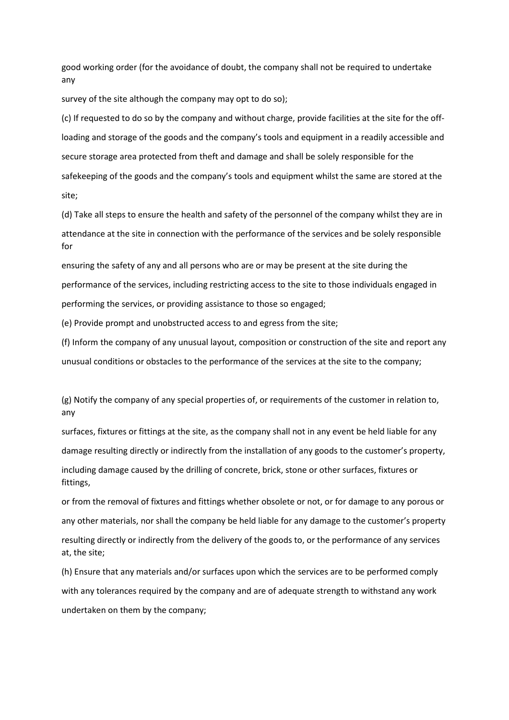good working order (for the avoidance of doubt, the company shall not be required to undertake any

survey of the site although the company may opt to do so);

(c) If requested to do so by the company and without charge, provide facilities at the site for the offloading and storage of the goods and the company's tools and equipment in a readily accessible and secure storage area protected from theft and damage and shall be solely responsible for the safekeeping of the goods and the company's tools and equipment whilst the same are stored at the site;

(d) Take all steps to ensure the health and safety of the personnel of the company whilst they are in attendance at the site in connection with the performance of the services and be solely responsible for

ensuring the safety of any and all persons who are or may be present at the site during the performance of the services, including restricting access to the site to those individuals engaged in performing the services, or providing assistance to those so engaged;

(e) Provide prompt and unobstructed access to and egress from the site;

(f) Inform the company of any unusual layout, composition or construction of the site and report any unusual conditions or obstacles to the performance of the services at the site to the company;

(g) Notify the company of any special properties of, or requirements of the customer in relation to, any

surfaces, fixtures or fittings at the site, as the company shall not in any event be held liable for any damage resulting directly or indirectly from the installation of any goods to the customer's property,

including damage caused by the drilling of concrete, brick, stone or other surfaces, fixtures or fittings,

or from the removal of fixtures and fittings whether obsolete or not, or for damage to any porous or any other materials, nor shall the company be held liable for any damage to the customer's property resulting directly or indirectly from the delivery of the goods to, or the performance of any services at, the site;

(h) Ensure that any materials and/or surfaces upon which the services are to be performed comply with any tolerances required by the company and are of adequate strength to withstand any work undertaken on them by the company;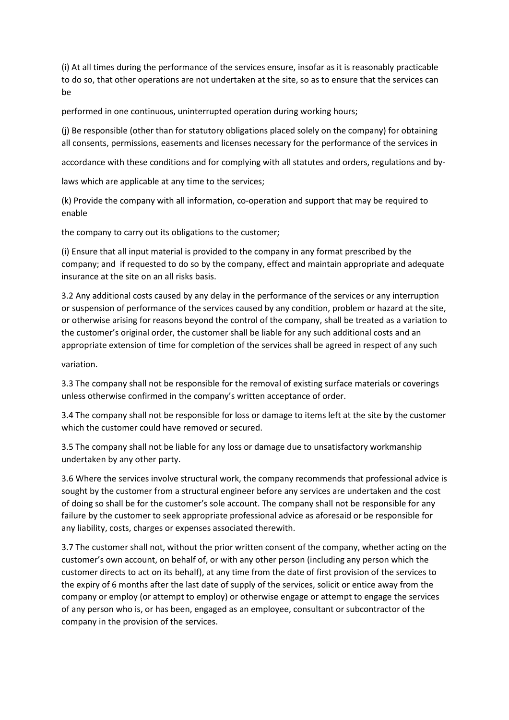(i) At all times during the performance of the services ensure, insofar as it is reasonably practicable to do so, that other operations are not undertaken at the site, so as to ensure that the services can be

performed in one continuous, uninterrupted operation during working hours;

(j) Be responsible (other than for statutory obligations placed solely on the company) for obtaining all consents, permissions, easements and licenses necessary for the performance of the services in

accordance with these conditions and for complying with all statutes and orders, regulations and by-

laws which are applicable at any time to the services;

(k) Provide the company with all information, co-operation and support that may be required to enable

the company to carry out its obligations to the customer;

(i) Ensure that all input material is provided to the company in any format prescribed by the company; and if requested to do so by the company, effect and maintain appropriate and adequate insurance at the site on an all risks basis.

3.2 Any additional costs caused by any delay in the performance of the services or any interruption or suspension of performance of the services caused by any condition, problem or hazard at the site, or otherwise arising for reasons beyond the control of the company, shall be treated as a variation to the customer's original order, the customer shall be liable for any such additional costs and an appropriate extension of time for completion of the services shall be agreed in respect of any such

variation.

3.3 The company shall not be responsible for the removal of existing surface materials or coverings unless otherwise confirmed in the company's written acceptance of order.

3.4 The company shall not be responsible for loss or damage to items left at the site by the customer which the customer could have removed or secured.

3.5 The company shall not be liable for any loss or damage due to unsatisfactory workmanship undertaken by any other party.

3.6 Where the services involve structural work, the company recommends that professional advice is sought by the customer from a structural engineer before any services are undertaken and the cost of doing so shall be for the customer's sole account. The company shall not be responsible for any failure by the customer to seek appropriate professional advice as aforesaid or be responsible for any liability, costs, charges or expenses associated therewith.

3.7 The customer shall not, without the prior written consent of the company, whether acting on the customer's own account, on behalf of, or with any other person (including any person which the customer directs to act on its behalf), at any time from the date of first provision of the services to the expiry of 6 months after the last date of supply of the services, solicit or entice away from the company or employ (or attempt to employ) or otherwise engage or attempt to engage the services of any person who is, or has been, engaged as an employee, consultant or subcontractor of the company in the provision of the services.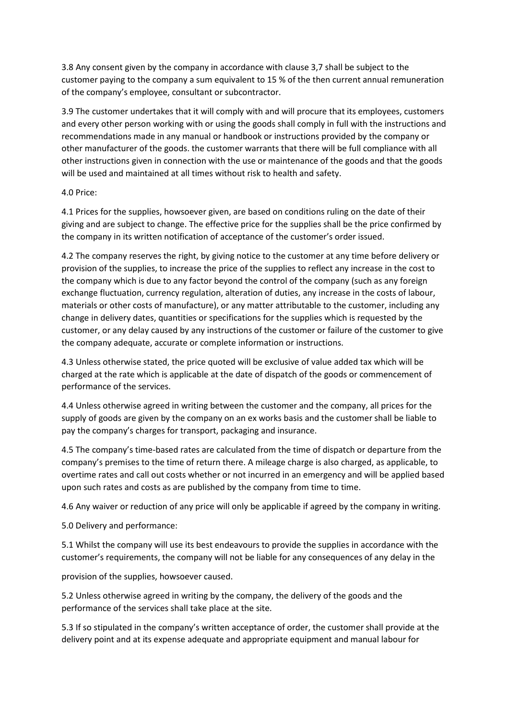3.8 Any consent given by the company in accordance with clause 3,7 shall be subject to the customer paying to the company a sum equivalent to 15 % of the then current annual remuneration of the company's employee, consultant or subcontractor.

3.9 The customer undertakes that it will comply with and will procure that its employees, customers and every other person working with or using the goods shall comply in full with the instructions and recommendations made in any manual or handbook or instructions provided by the company or other manufacturer of the goods. the customer warrants that there will be full compliance with all other instructions given in connection with the use or maintenance of the goods and that the goods will be used and maintained at all times without risk to health and safety.

### 4.0 Price:

4.1 Prices for the supplies, howsoever given, are based on conditions ruling on the date of their giving and are subject to change. The effective price for the supplies shall be the price confirmed by the company in its written notification of acceptance of the customer's order issued.

4.2 The company reserves the right, by giving notice to the customer at any time before delivery or provision of the supplies, to increase the price of the supplies to reflect any increase in the cost to the company which is due to any factor beyond the control of the company (such as any foreign exchange fluctuation, currency regulation, alteration of duties, any increase in the costs of labour, materials or other costs of manufacture), or any matter attributable to the customer, including any change in delivery dates, quantities or specifications for the supplies which is requested by the customer, or any delay caused by any instructions of the customer or failure of the customer to give the company adequate, accurate or complete information or instructions.

4.3 Unless otherwise stated, the price quoted will be exclusive of value added tax which will be charged at the rate which is applicable at the date of dispatch of the goods or commencement of performance of the services.

4.4 Unless otherwise agreed in writing between the customer and the company, all prices for the supply of goods are given by the company on an ex works basis and the customer shall be liable to pay the company's charges for transport, packaging and insurance.

4.5 The company's time-based rates are calculated from the time of dispatch or departure from the company's premises to the time of return there. A mileage charge is also charged, as applicable, to overtime rates and call out costs whether or not incurred in an emergency and will be applied based upon such rates and costs as are published by the company from time to time.

4.6 Any waiver or reduction of any price will only be applicable if agreed by the company in writing.

5.0 Delivery and performance:

5.1 Whilst the company will use its best endeavours to provide the supplies in accordance with the customer's requirements, the company will not be liable for any consequences of any delay in the

provision of the supplies, howsoever caused.

5.2 Unless otherwise agreed in writing by the company, the delivery of the goods and the performance of the services shall take place at the site.

5.3 If so stipulated in the company's written acceptance of order, the customer shall provide at the delivery point and at its expense adequate and appropriate equipment and manual labour for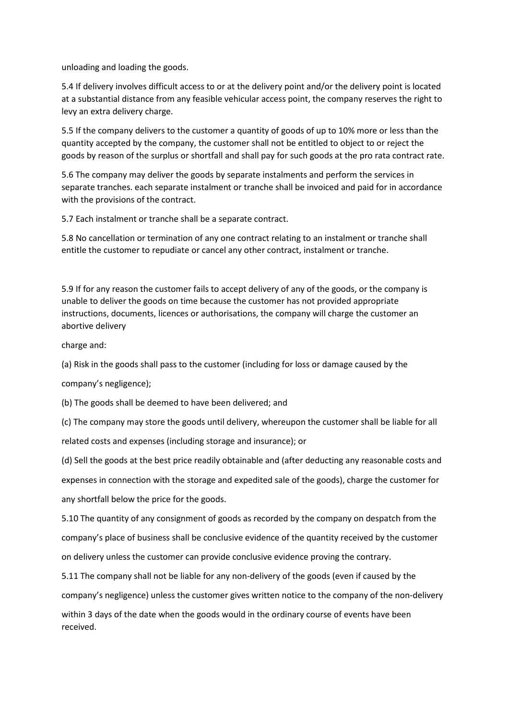unloading and loading the goods.

5.4 If delivery involves difficult access to or at the delivery point and/or the delivery point is located at a substantial distance from any feasible vehicular access point, the company reserves the right to levy an extra delivery charge.

5.5 If the company delivers to the customer a quantity of goods of up to 10% more or less than the quantity accepted by the company, the customer shall not be entitled to object to or reject the goods by reason of the surplus or shortfall and shall pay for such goods at the pro rata contract rate.

5.6 The company may deliver the goods by separate instalments and perform the services in separate tranches. each separate instalment or tranche shall be invoiced and paid for in accordance with the provisions of the contract.

5.7 Each instalment or tranche shall be a separate contract.

5.8 No cancellation or termination of any one contract relating to an instalment or tranche shall entitle the customer to repudiate or cancel any other contract, instalment or tranche.

5.9 If for any reason the customer fails to accept delivery of any of the goods, or the company is unable to deliver the goods on time because the customer has not provided appropriate instructions, documents, licences or authorisations, the company will charge the customer an abortive delivery

charge and:

(a) Risk in the goods shall pass to the customer (including for loss or damage caused by the

company's negligence);

(b) The goods shall be deemed to have been delivered; and

(c) The company may store the goods until delivery, whereupon the customer shall be liable for all related costs and expenses (including storage and insurance); or

(d) Sell the goods at the best price readily obtainable and (after deducting any reasonable costs and expenses in connection with the storage and expedited sale of the goods), charge the customer for any shortfall below the price for the goods.

5.10 The quantity of any consignment of goods as recorded by the company on despatch from the company's place of business shall be conclusive evidence of the quantity received by the customer on delivery unless the customer can provide conclusive evidence proving the contrary.

5.11 The company shall not be liable for any non-delivery of the goods (even if caused by the

company's negligence) unless the customer gives written notice to the company of the non-delivery

within 3 days of the date when the goods would in the ordinary course of events have been received.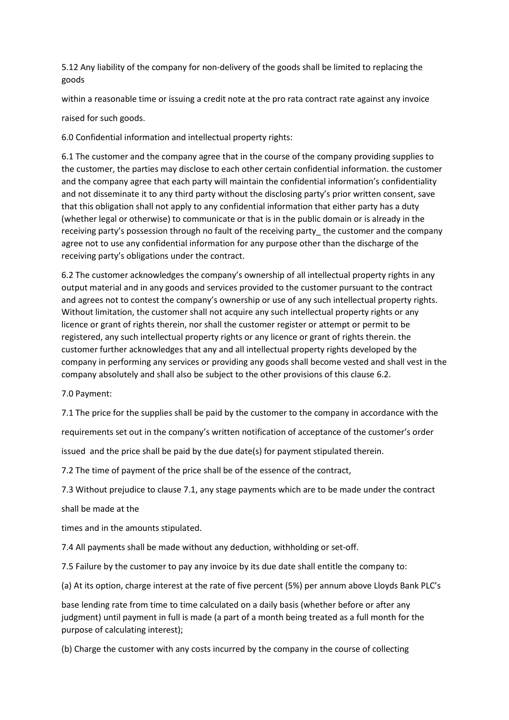5.12 Any liability of the company for non-delivery of the goods shall be limited to replacing the goods

within a reasonable time or issuing a credit note at the pro rata contract rate against any invoice

raised for such goods.

6.0 Confidential information and intellectual property rights:

6.1 The customer and the company agree that in the course of the company providing supplies to the customer, the parties may disclose to each other certain confidential information. the customer and the company agree that each party will maintain the confidential information's confidentiality and not disseminate it to any third party without the disclosing party's prior written consent, save that this obligation shall not apply to any confidential information that either party has a duty (whether legal or otherwise) to communicate or that is in the public domain or is already in the receiving party's possession through no fault of the receiving party\_ the customer and the company agree not to use any confidential information for any purpose other than the discharge of the receiving party's obligations under the contract.

6.2 The customer acknowledges the company's ownership of all intellectual property rights in any output material and in any goods and services provided to the customer pursuant to the contract and agrees not to contest the company's ownership or use of any such intellectual property rights. Without limitation, the customer shall not acquire any such intellectual property rights or any licence or grant of rights therein, nor shall the customer register or attempt or permit to be registered, any such intellectual property rights or any licence or grant of rights therein. the customer further acknowledges that any and all intellectual property rights developed by the company in performing any services or providing any goods shall become vested and shall vest in the company absolutely and shall also be subject to the other provisions of this clause 6.2.

7.0 Payment:

7.1 The price for the supplies shall be paid by the customer to the company in accordance with the

requirements set out in the company's written notification of acceptance of the customer's order

issued and the price shall be paid by the due date(s) for payment stipulated therein.

7.2 The time of payment of the price shall be of the essence of the contract,

7.3 Without prejudice to clause 7.1, any stage payments which are to be made under the contract

shall be made at the

times and in the amounts stipulated.

7.4 All payments shall be made without any deduction, withholding or set-off.

7.5 Failure by the customer to pay any invoice by its due date shall entitle the company to:

(a) At its option, charge interest at the rate of five percent (5%) per annum above Lloyds Bank PLC's

base lending rate from time to time calculated on a daily basis (whether before or after any judgment) until payment in full is made (a part of a month being treated as a full month for the purpose of calculating interest);

(b) Charge the customer with any costs incurred by the company in the course of collecting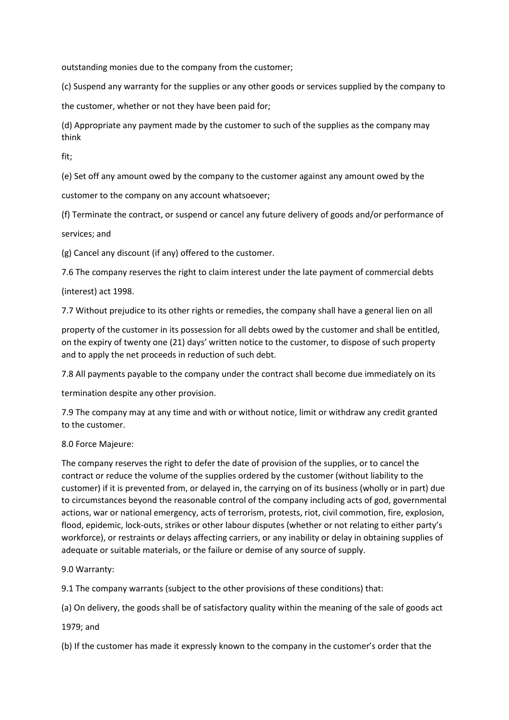outstanding monies due to the company from the customer;

(c) Suspend any warranty for the supplies or any other goods or services supplied by the company to

the customer, whether or not they have been paid for;

(d) Appropriate any payment made by the customer to such of the supplies as the company may think

fit;

(e) Set off any amount owed by the company to the customer against any amount owed by the

customer to the company on any account whatsoever;

(f) Terminate the contract, or suspend or cancel any future delivery of goods and/or performance of services; and

(g) Cancel any discount (if any) offered to the customer.

7.6 The company reserves the right to claim interest under the late payment of commercial debts

(interest) act 1998.

7.7 Without prejudice to its other rights or remedies, the company shall have a general lien on all

property of the customer in its possession for all debts owed by the customer and shall be entitled, on the expiry of twenty one (21) days' written notice to the customer, to dispose of such property and to apply the net proceeds in reduction of such debt.

7.8 All payments payable to the company under the contract shall become due immediately on its

termination despite any other provision.

7.9 The company may at any time and with or without notice, limit or withdraw any credit granted to the customer.

# 8.0 Force Majeure:

The company reserves the right to defer the date of provision of the supplies, or to cancel the contract or reduce the volume of the supplies ordered by the customer (without liability to the customer) if it is prevented from, or delayed in, the carrying on of its business (wholly or in part) due to circumstances beyond the reasonable control of the company including acts of god, governmental actions, war or national emergency, acts of terrorism, protests, riot, civil commotion, fire, explosion, flood, epidemic, lock-outs, strikes or other labour disputes (whether or not relating to either party's workforce), or restraints or delays affecting carriers, or any inability or delay in obtaining supplies of adequate or suitable materials, or the failure or demise of any source of supply.

# 9.0 Warranty:

9.1 The company warrants (subject to the other provisions of these conditions) that:

(a) On delivery, the goods shall be of satisfactory quality within the meaning of the sale of goods act

1979; and

(b) If the customer has made it expressly known to the company in the customer's order that the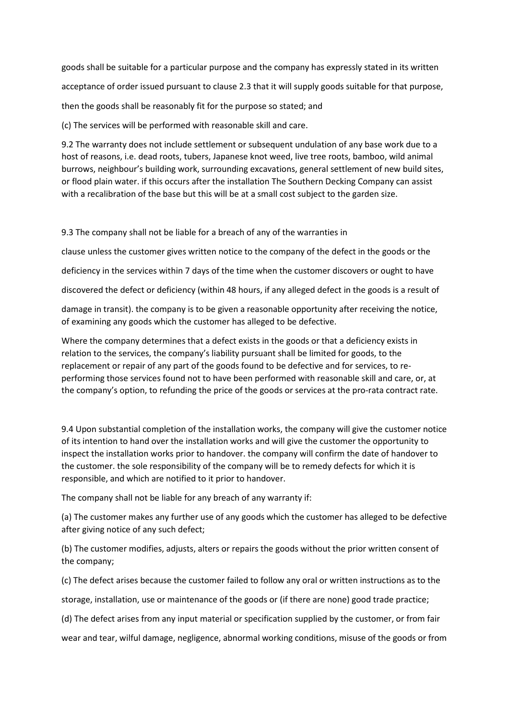goods shall be suitable for a particular purpose and the company has expressly stated in its written acceptance of order issued pursuant to clause 2.3 that it will supply goods suitable for that purpose, then the goods shall be reasonably fit for the purpose so stated; and

(c) The services will be performed with reasonable skill and care.

9.2 The warranty does not include settlement or subsequent undulation of any base work due to a host of reasons, i.e. dead roots, tubers, Japanese knot weed, live tree roots, bamboo, wild animal burrows, neighbour's building work, surrounding excavations, general settlement of new build sites, or flood plain water. if this occurs after the installation The Southern Decking Company can assist with a recalibration of the base but this will be at a small cost subject to the garden size.

9.3 The company shall not be liable for a breach of any of the warranties in

clause unless the customer gives written notice to the company of the defect in the goods or the

deficiency in the services within 7 days of the time when the customer discovers or ought to have

discovered the defect or deficiency (within 48 hours, if any alleged defect in the goods is a result of

damage in transit). the company is to be given a reasonable opportunity after receiving the notice, of examining any goods which the customer has alleged to be defective.

Where the company determines that a defect exists in the goods or that a deficiency exists in relation to the services, the company's liability pursuant shall be limited for goods, to the replacement or repair of any part of the goods found to be defective and for services, to reperforming those services found not to have been performed with reasonable skill and care, or, at the company's option, to refunding the price of the goods or services at the pro-rata contract rate.

9.4 Upon substantial completion of the installation works, the company will give the customer notice of its intention to hand over the installation works and will give the customer the opportunity to inspect the installation works prior to handover. the company will confirm the date of handover to the customer. the sole responsibility of the company will be to remedy defects for which it is responsible, and which are notified to it prior to handover.

The company shall not be liable for any breach of any warranty if:

(a) The customer makes any further use of any goods which the customer has alleged to be defective after giving notice of any such defect;

(b) The customer modifies, adjusts, alters or repairs the goods without the prior written consent of the company;

(c) The defect arises because the customer failed to follow any oral or written instructions as to the

storage, installation, use or maintenance of the goods or (if there are none) good trade practice;

(d) The defect arises from any input material or specification supplied by the customer, or from fair

wear and tear, wilful damage, negligence, abnormal working conditions, misuse of the goods or from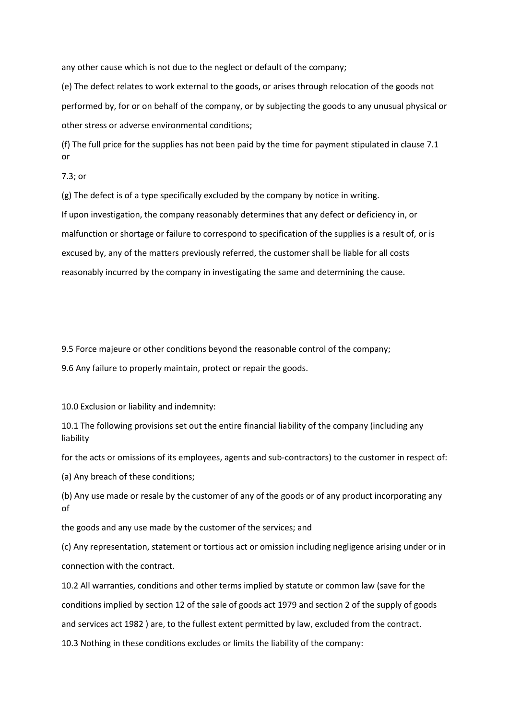any other cause which is not due to the neglect or default of the company;

(e) The defect relates to work external to the goods, or arises through relocation of the goods not performed by, for or on behalf of the company, or by subjecting the goods to any unusual physical or other stress or adverse environmental conditions;

(f) The full price for the supplies has not been paid by the time for payment stipulated in clause 7.1 or

7.3; or

(g) The defect is of a type specifically excluded by the company by notice in writing.

If upon investigation, the company reasonably determines that any defect or deficiency in, or malfunction or shortage or failure to correspond to specification of the supplies is a result of, or is excused by, any of the matters previously referred, the customer shall be liable for all costs reasonably incurred by the company in investigating the same and determining the cause.

9.5 Force majeure or other conditions beyond the reasonable control of the company;

9.6 Any failure to properly maintain, protect or repair the goods.

10.0 Exclusion or liability and indemnity:

10.1 The following provisions set out the entire financial liability of the company (including any liability

for the acts or omissions of its employees, agents and sub-contractors) to the customer in respect of:

(a) Any breach of these conditions;

(b) Any use made or resale by the customer of any of the goods or of any product incorporating any of

the goods and any use made by the customer of the services; and

(c) Any representation, statement or tortious act or omission including negligence arising under or in connection with the contract.

10.2 All warranties, conditions and other terms implied by statute or common law (save for the conditions implied by section 12 of the sale of goods act 1979 and section 2 of the supply of goods and services act 1982 ) are, to the fullest extent permitted by law, excluded from the contract. 10.3 Nothing in these conditions excludes or limits the liability of the company: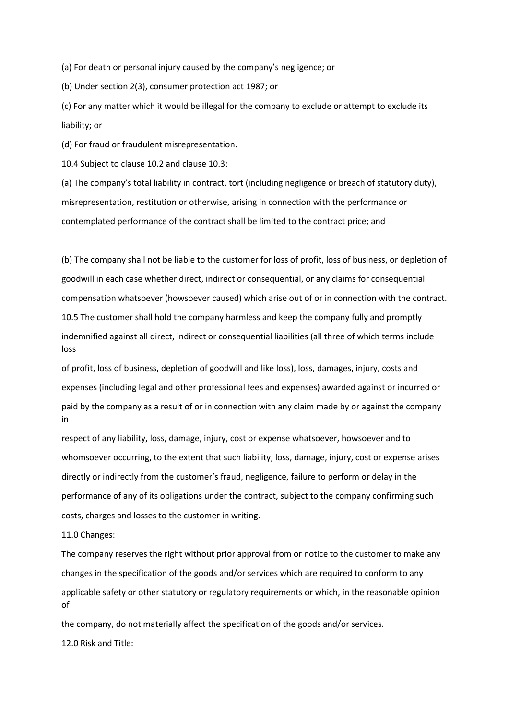(a) For death or personal injury caused by the company's negligence; or

(b) Under section 2(3), consumer protection act 1987; or

(c) For any matter which it would be illegal for the company to exclude or attempt to exclude its liability; or

(d) For fraud or fraudulent misrepresentation.

10.4 Subject to clause 10.2 and clause 10.3:

(a) The company's total liability in contract, tort (including negligence or breach of statutory duty), misrepresentation, restitution or otherwise, arising in connection with the performance or contemplated performance of the contract shall be limited to the contract price; and

(b) The company shall not be liable to the customer for loss of profit, loss of business, or depletion of goodwill in each case whether direct, indirect or consequential, or any claims for consequential compensation whatsoever (howsoever caused) which arise out of or in connection with the contract. 10.5 The customer shall hold the company harmless and keep the company fully and promptly indemnified against all direct, indirect or consequential liabilities (all three of which terms include loss

of profit, loss of business, depletion of goodwill and like loss), loss, damages, injury, costs and expenses (including legal and other professional fees and expenses) awarded against or incurred or paid by the company as a result of or in connection with any claim made by or against the company in

respect of any liability, loss, damage, injury, cost or expense whatsoever, howsoever and to whomsoever occurring, to the extent that such liability, loss, damage, injury, cost or expense arises directly or indirectly from the customer's fraud, negligence, failure to perform or delay in the performance of any of its obligations under the contract, subject to the company confirming such costs, charges and losses to the customer in writing.

### 11.0 Changes:

The company reserves the right without prior approval from or notice to the customer to make any changes in the specification of the goods and/or services which are required to conform to any applicable safety or other statutory or regulatory requirements or which, in the reasonable opinion of

the company, do not materially affect the specification of the goods and/or services.

12.0 Risk and Title: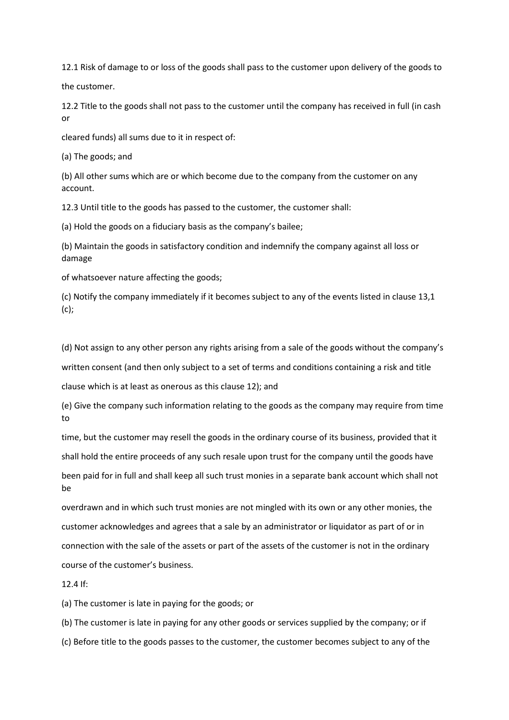12.1 Risk of damage to or loss of the goods shall pass to the customer upon delivery of the goods to the customer.

12.2 Title to the goods shall not pass to the customer until the company has received in full (in cash or

cleared funds) all sums due to it in respect of:

(a) The goods; and

(b) All other sums which are or which become due to the company from the customer on any account.

12.3 Until title to the goods has passed to the customer, the customer shall:

(a) Hold the goods on a fiduciary basis as the company's bailee;

(b) Maintain the goods in satisfactory condition and indemnify the company against all loss or damage

of whatsoever nature affecting the goods;

(c) Notify the company immediately if it becomes subject to any of the events listed in clause 13,1  $(c)$ ;

(d) Not assign to any other person any rights arising from a sale of the goods without the company's

written consent (and then only subject to a set of terms and conditions containing a risk and title

clause which is at least as onerous as this clause 12); and

(e) Give the company such information relating to the goods as the company may require from time to

time, but the customer may resell the goods in the ordinary course of its business, provided that it shall hold the entire proceeds of any such resale upon trust for the company until the goods have

been paid for in full and shall keep all such trust monies in a separate bank account which shall not be

overdrawn and in which such trust monies are not mingled with its own or any other monies, the customer acknowledges and agrees that a sale by an administrator or liquidator as part of or in connection with the sale of the assets or part of the assets of the customer is not in the ordinary course of the customer's business.

12.4 If:

(a) The customer is late in paying for the goods; or

(b) The customer is late in paying for any other goods or services supplied by the company; or if

(c) Before title to the goods passes to the customer, the customer becomes subject to any of the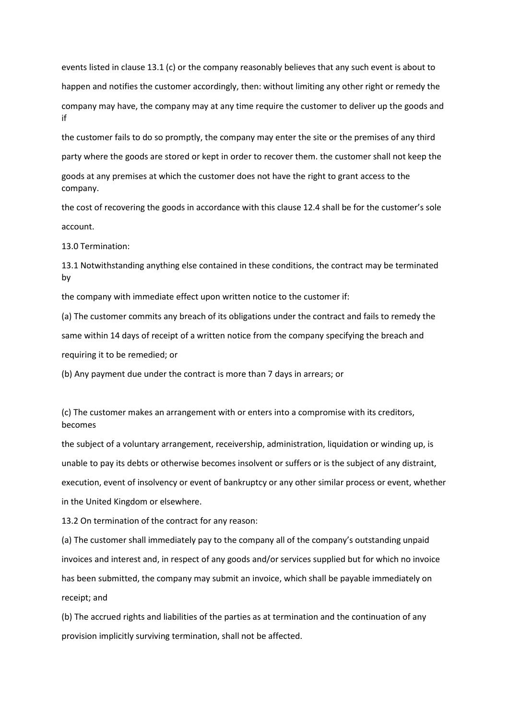events listed in clause 13.1 (c) or the company reasonably believes that any such event is about to happen and notifies the customer accordingly, then: without limiting any other right or remedy the company may have, the company may at any time require the customer to deliver up the goods and if

the customer fails to do so promptly, the company may enter the site or the premises of any third party where the goods are stored or kept in order to recover them. the customer shall not keep the goods at any premises at which the customer does not have the right to grant access to the company.

the cost of recovering the goods in accordance with this clause 12.4 shall be for the customer's sole account.

13.0 Termination:

13.1 Notwithstanding anything else contained in these conditions, the contract may be terminated by

the company with immediate effect upon written notice to the customer if:

(a) The customer commits any breach of its obligations under the contract and fails to remedy the same within 14 days of receipt of a written notice from the company specifying the breach and requiring it to be remedied; or

(b) Any payment due under the contract is more than 7 days in arrears; or

(c) The customer makes an arrangement with or enters into a compromise with its creditors, becomes

the subject of a voluntary arrangement, receivership, administration, liquidation or winding up, is unable to pay its debts or otherwise becomes insolvent or suffers or is the subject of any distraint, execution, event of insolvency or event of bankruptcy or any other similar process or event, whether in the United Kingdom or elsewhere.

13.2 On termination of the contract for any reason:

(a) The customer shall immediately pay to the company all of the company's outstanding unpaid invoices and interest and, in respect of any goods and/or services supplied but for which no invoice has been submitted, the company may submit an invoice, which shall be payable immediately on receipt; and

(b) The accrued rights and liabilities of the parties as at termination and the continuation of any provision implicitly surviving termination, shall not be affected.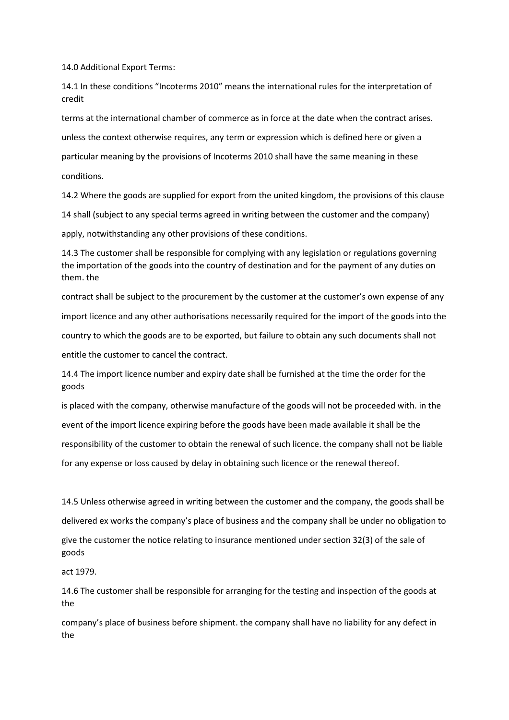14.0 Additional Export Terms:

14.1 In these conditions "Incoterms 2010" means the international rules for the interpretation of credit

terms at the international chamber of commerce as in force at the date when the contract arises. unless the context otherwise requires, any term or expression which is defined here or given a particular meaning by the provisions of Incoterms 2010 shall have the same meaning in these conditions.

14.2 Where the goods are supplied for export from the united kingdom, the provisions of this clause

14 shall (subject to any special terms agreed in writing between the customer and the company)

apply, notwithstanding any other provisions of these conditions.

14.3 The customer shall be responsible for complying with any legislation or regulations governing the importation of the goods into the country of destination and for the payment of any duties on them. the

contract shall be subject to the procurement by the customer at the customer's own expense of any import licence and any other authorisations necessarily required for the import of the goods into the country to which the goods are to be exported, but failure to obtain any such documents shall not entitle the customer to cancel the contract.

14.4 The import licence number and expiry date shall be furnished at the time the order for the goods

is placed with the company, otherwise manufacture of the goods will not be proceeded with. in the event of the import licence expiring before the goods have been made available it shall be the responsibility of the customer to obtain the renewal of such licence. the company shall not be liable for any expense or loss caused by delay in obtaining such licence or the renewal thereof.

14.5 Unless otherwise agreed in writing between the customer and the company, the goods shall be delivered ex works the company's place of business and the company shall be under no obligation to give the customer the notice relating to insurance mentioned under section 32(3) of the sale of goods

act 1979.

14.6 The customer shall be responsible for arranging for the testing and inspection of the goods at the

company's place of business before shipment. the company shall have no liability for any defect in the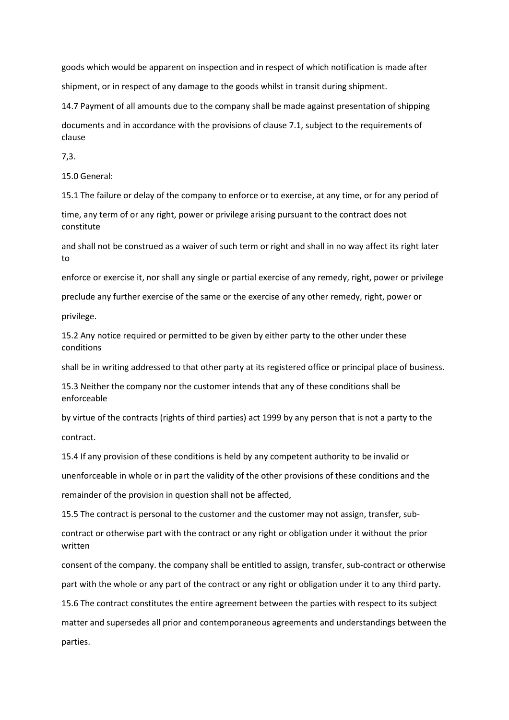goods which would be apparent on inspection and in respect of which notification is made after shipment, or in respect of any damage to the goods whilst in transit during shipment.

14.7 Payment of all amounts due to the company shall be made against presentation of shipping

documents and in accordance with the provisions of clause 7.1, subject to the requirements of clause

7,3.

15.0 General:

15.1 The failure or delay of the company to enforce or to exercise, at any time, or for any period of

time, any term of or any right, power or privilege arising pursuant to the contract does not constitute

and shall not be construed as a waiver of such term or right and shall in no way affect its right later to

enforce or exercise it, nor shall any single or partial exercise of any remedy, right, power or privilege

preclude any further exercise of the same or the exercise of any other remedy, right, power or

privilege.

15.2 Any notice required or permitted to be given by either party to the other under these conditions

shall be in writing addressed to that other party at its registered office or principal place of business.

15.3 Neither the company nor the customer intends that any of these conditions shall be enforceable

by virtue of the contracts (rights of third parties) act 1999 by any person that is not a party to the contract.

15.4 If any provision of these conditions is held by any competent authority to be invalid or unenforceable in whole or in part the validity of the other provisions of these conditions and the remainder of the provision in question shall not be affected,

15.5 The contract is personal to the customer and the customer may not assign, transfer, sub-

contract or otherwise part with the contract or any right or obligation under it without the prior written

consent of the company. the company shall be entitled to assign, transfer, sub-contract or otherwise part with the whole or any part of the contract or any right or obligation under it to any third party.

15.6 The contract constitutes the entire agreement between the parties with respect to its subject matter and supersedes all prior and contemporaneous agreements and understandings between the parties.